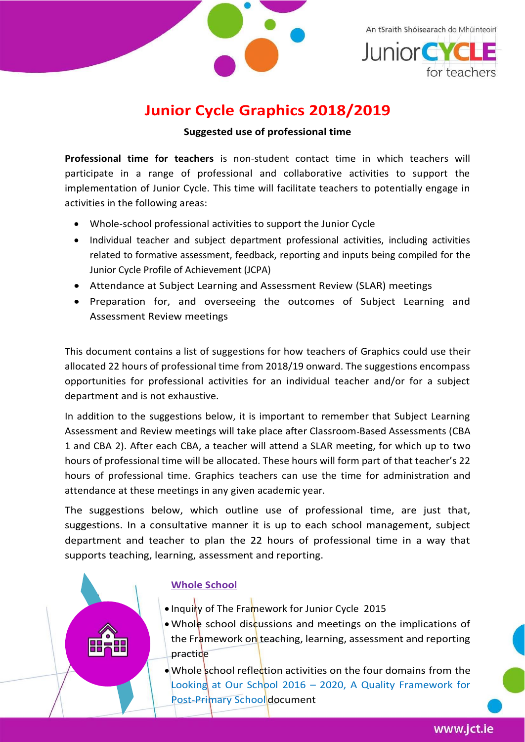

An tSraith Shóisearach do Mhúinteoirí



# **Junior Cycle Graphics 2018/2019**

**Suggested use of professional time**

**Professional time for teachers** is non-student contact time in which teachers will participate in a range of professional and collaborative activities to support the implementation of Junior Cycle. This time will facilitate teachers to potentially engage in activities in the following areas:

- Whole-school professional activities to support the Junior Cycle
- Individual teacher and subject department professional activities, including activities related to formative assessment, feedback, reporting and inputs being compiled for the Junior Cycle Profile of Achievement (JCPA)
- Attendance at Subject Learning and Assessment Review (SLAR) meetings
- Preparation for, and overseeing the outcomes of Subject Learning and Assessment Review meetings

This document contains a list of suggestions for how teachers of Graphics could use their allocated 22 hours of professional time from 2018/19 onward. The suggestions encompass opportunities for professional activities for an individual teacher and/or for a subject department and is not exhaustive.

In addition to the suggestions below, it is important to remember that Subject Learning Assessment and Review meetings will take place after Classroom-Based Assessments (CBA 1 and CBA 2). After each CBA, a teacher will attend a SLAR meeting, for which up to two hours of professional time will be allocated. These hours will form part of that teacher's 22 hours of professional time. Graphics teachers can use the time for administration and attendance at these meetings in any given academic year.

The suggestions below, which outline use of professional time, are just that, suggestions. In a consultative manner it is up to each school management, subject department and teacher to plan the 22 hours of professional time in a way that supports teaching, learning, assessment and reporting.

### **Whole School**

- Inquiry of The Framework for Junior Cycle 2015
- Whole school discussions and meetings on the implications of the Framework on teaching, learning, assessment and reporting practice
- Whole school reflection activities on the four domains from the Looking at Our School 2016 – 2020, A Quality Framework for Post-Primary School document